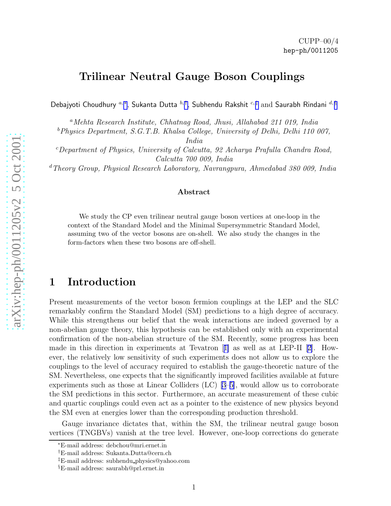# Trilinear Neutral Gauge Boson Couplings

Debajyoti Choudhury  $a,*,$  Sukanta Dutta  $^{b, \dagger},$  Subhendu Rakshit  $^{c, \ddagger}$  and Saurabh Rindani  $^{d, \S}$ 

<sup>a</sup>Mehta Research Institute, Chhatnag Road, Jhusi, Allahabad 211 019, India

<sup>b</sup>Physics Department, S.G.T.B. Khalsa College, University of Delhi, Delhi 110 007,

India

 $c$ Department of Physics, University of Calcutta, 92 Acharya Prafulla Chandra Road, Calcutta 700 009, India

<sup>d</sup>Theory Group, Physical Research Laboratory, Navrangpura, Ahmedabad 380 009, India

#### Abstract

We study the CP even trilinear neutral gauge boson vertices at one-loop in the context of the Standard Model and the Minimal Supersymmetric Standard Model, assuming two of the vector bosons are on-shell. We also study the changes in the form-factors when these two bosons are off-shell.

# 1 Introduction

Present measurements of the vector boson fermion couplings at the LEP and the SLC remarkably confirm the Standard Model (SM) predictions to a high degree of accuracy. While this strengthens our belief that the weak interactions are indeed governed by a non-abelian gauge theory, this hypothesis can be established only with an experimental confirmation of the non-abelian structure of the SM. Recently, some progress has been made in this direction in experiments at Tevatron[[1\]](#page-17-0) as well as at LEP-II[[2\]](#page-17-0). However, the relatively low sensitivity of such experiments does not allow us to explore the couplings to the level of accuracy required to establish the gauge-theoretic nature of the SM. Nevertheless, one expects that the significantly improved facilities available at future experiments such as those at Linear Colliders (LC) [\[3–5\]](#page-17-0), would allow us to corroborate the SM predictions in this sector. Furthermore, an accurate measurement of these cubic and quartic couplings could even act as a pointer to the existence of new physics beyond the SM even at energies lower than the corresponding production threshold.

Gauge invariance dictates that, within the SM, the trilinear neutral gauge boson vertices (TNGBVs) vanish at the tree level. However, one-loop corrections do generate

<sup>∗</sup>E-mail address: debchou@mri.ernet.in

<sup>†</sup>E-mail address: Sukanta.Dutta@cern.ch

<sup>‡</sup>E-mail address: subhendu physics@yahoo.com

<sup>§</sup>E-mail address: saurabh@prl.ernet.in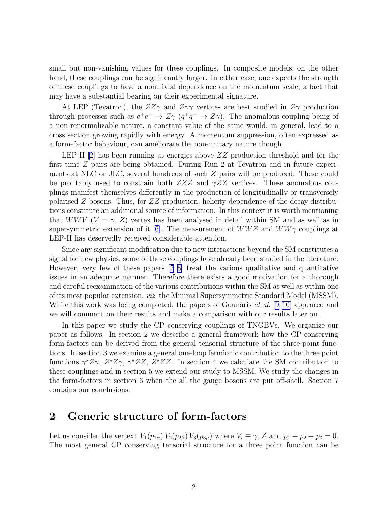<span id="page-1-0"></span>small but non-vanishing values for these couplings. In composite models, on the other hand, these couplings can be significantly larger. In either case, one expects the strength of these couplings to have a nontrivial dependence on the momentum scale, a fact that may have a substantial bearing on their experimental signature.

At LEP (Tevatron), the  $ZZ\gamma$  and  $Z\gamma\gamma$  vertices are best studied in  $Z\gamma$  production through processes such as  $e^+e^- \to Z\gamma$   $(q^+q^- \to Z\gamma)$ . The anomalous coupling being of a non-renormalizable nature, a constant value of the same would, in general, lead to a cross section growing rapidly with energy. A momentum suppression, often expressed as a form-factor behaviour, can ameliorate the non-unitary nature though.

LEP-II  $[2]$  has been running at energies above  $ZZ$  production threshold and for the first time Z pairs are being obtained. During Run 2 at Tevatron and in future experiments at NLC or JLC, several hundreds of such Z pairs will be produced. These could be profitably used to constrain both  $ZZZ$  and  $\gamma ZZ$  vertices. These anomalous couplings manifest themselves differently in the production of longitudinally or transversely polarised  $Z$  bosons. Thus, for  $ZZ$  production, helicity dependence of the decay distributions constitute an additional source of information. In this context it is worth mentioning that WWV ( $V = \gamma$ , Z) vertex has been analysed in detail within SM and as well as in supersymmetricextension of it [[6\]](#page-17-0). The measurement of  $WWZ$  and  $WW\gamma$  couplings at LEP-II has deservedly received considerable attention.

Since any significant modification due to new interactions beyond the SM constitutes a signal for new physics, some of these couplings have already been studied in the literature. However, very few of these papers [\[7](#page-17-0), [8\]](#page-17-0) treat the various qualitative and quantitative issues in an adequate manner. Therefore there exists a good motivation for a thorough and careful reexamination of the various contributions within the SM as well as within one of its most popular extension, viz. the Minimal Supersymmetric Standard Model (MSSM). While this work was being completed, the papers of Gounaris *et al.* [\[9](#page-17-0), [10\]](#page-17-0) appeared and we will comment on their results and make a comparison with our results later on.

In this paper we study the CP conserving couplings of TNGBVs. We organize our paper as follows. In section 2 we describe a general framework how the CP conserving form-factors can be derived from the general tensorial structure of the three-point functions. In section 3 we examine a general one-loop fermionic contribution to the three point functions  $\gamma^* Z\gamma$ ,  $Z^* Z\gamma$ ,  $\gamma^* ZZ$ ,  $Z^* ZZ$ . In section 4 we calculate the SM contribution to these couplings and in section 5 we extend our study to MSSM. We study the changes in the form-factors in section 6 when the all the gauge bosons are put off-shell. Section 7 contains our conclusions.

## 2 Generic structure of form-factors

Let us consider the vertex:  $V_1(p_{1\alpha}) V_2(p_{2\beta}) V_3(p_{3\mu})$  where  $V_i \equiv \gamma$ , Z and  $p_1 + p_2 + p_3 = 0$ . The most general CP conserving tensorial structure for a three point function can be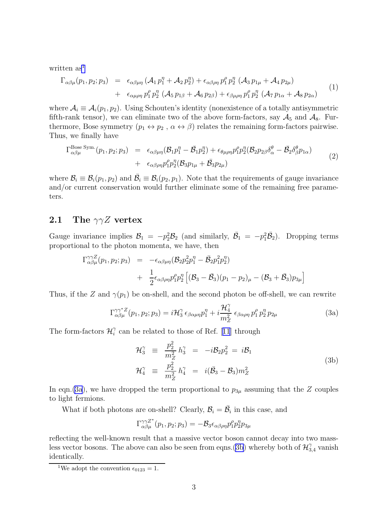<span id="page-2-0"></span>written as<sup>1</sup>

$$
\Gamma_{\alpha\beta\mu}(p_1, p_2; p_3) = \epsilon_{\alpha\beta\mu\eta} (\mathcal{A}_1 p_1^{\eta} + \mathcal{A}_2 p_2^{\eta}) + \epsilon_{\alpha\beta\rho\eta} p_1^{\rho} p_2^{\eta} (\mathcal{A}_3 p_{1\mu} + \mathcal{A}_4 p_{2\mu}) \n+ \epsilon_{\alpha\mu\rho\eta} p_1^{\rho} p_2^{\eta} (\mathcal{A}_5 p_{1\beta} + \mathcal{A}_6 p_{2\beta}) + \epsilon_{\beta\mu\rho\eta} p_1^{\rho} p_2^{\eta} (\mathcal{A}_7 p_{1\alpha} + \mathcal{A}_8 p_{2\alpha})
$$
\n(1)

where  $A_i \equiv A_i(p_1, p_2)$ . Using Schouten's identity (nonexistence of a totally antisymmetric fifth-rank tensor), we can eliminate two of the above form-factors, say  $A_5$  and  $A_8$ . Furthermore, Bose symmetry  $(p_1 \leftrightarrow p_2, \alpha \leftrightarrow \beta)$  relates the remaining form-factors pairwise. Thus, we finally have

$$
\Gamma^{\text{Bose Sym.}}_{\alpha\beta\mu}(p_1, p_2; p_3) = \epsilon_{\alpha\beta\mu\eta} (\mathcal{B}_1 p_1^{\eta} - \bar{\mathcal{B}}_1 p_2^{\eta}) + \epsilon_{\theta\mu\rho\eta} p_1^{\rho} p_2^{\eta} (\mathcal{B}_2 p_{2\beta} \delta_{\alpha}^{\theta} - \bar{\mathcal{B}}_2 \delta_{\beta}^{\theta} p_{1\alpha}) \n+ \epsilon_{\alpha\beta\rho\eta} p_1^{\rho} p_2^{\eta} (\mathcal{B}_3 p_{1\mu} + \bar{\mathcal{B}}_3 p_{2\mu})
$$
\n(2)

where  $\mathcal{B}_i \equiv \mathcal{B}_i(p_1, p_2)$  and  $\bar{\mathcal{B}}_i \equiv \mathcal{B}_i(p_2, p_1)$ . Note that the requirements of gauge invariance and/or current conservation would further eliminate some of the remaining free parameters.

# 2.1 The  $\gamma \gamma Z$  vertex

Gauge invariance implies  $\mathcal{B}_1 = -p_2^2 \mathcal{B}_2$  (and similarly,  $\bar{\mathcal{B}}_1 = -p_1^2 \bar{\mathcal{B}}_2$ ). Dropping terms proportional to the photon momenta, we have, then

$$
\Gamma_{\alpha\beta\mu}^{\gamma\gamma Z}(p_1, p_2; p_3) = -\epsilon_{\alpha\beta\mu\eta} (\mathcal{B}_2 p_2^2 p_1^{\eta} - \bar{\mathcal{B}}_2 p_1^2 p_2^{\eta}) \n+ \frac{1}{2} \epsilon_{\alpha\beta\rho\eta} p_1^{\rho} p_2^{\eta} [(\mathcal{B}_3 - \bar{\mathcal{B}}_3)(p_1 - p_2)_{\mu} - (\mathcal{B}_3 + \bar{\mathcal{B}}_3) p_3_{\mu}]
$$

Thus, if the Z and  $\gamma(p_1)$  be on-shell, and the second photon be off-shell, we can rewrite

$$
\Gamma_{\alpha\beta\mu}^{\gamma\gamma^*Z}(p_1, p_2; p_3) = i\mathcal{H}_3^{\gamma} \epsilon_{\beta\alpha\mu\eta} p_1^{\eta} + i\frac{\mathcal{H}_4^{\gamma}}{m_Z^2} \epsilon_{\beta\alpha\rho\eta} p_1^{\rho} p_2^{\eta} p_{2\mu}
$$
(3a)

The form-factors  $\mathcal{H}_i^{\gamma}$  $i$ can be related to those of Ref. [[11](#page-17-0)] through

$$
\mathcal{H}_3^{\gamma} \equiv \frac{p_2^2}{m_Z^2} h_3^{\gamma} = -i\mathcal{B}_2 p_2^2 = i\mathcal{B}_1
$$
  
\n
$$
\mathcal{H}_4^{\gamma} \equiv \frac{p_2^2}{m_Z^2} h_4^{\gamma} = i(\bar{\mathcal{B}}_3 - \mathcal{B}_3) m_Z^2
$$
\n(3b)

In eqn.(3a), we have dropped the term proportional to  $p_{3\mu}$  assuming that the Z couples to light fermions.

What if both photons are on-shell? Clearly,  $B_i = \overline{B}_i$  in this case, and

$$
\Gamma^{\gamma\gamma Z^*}_{\alpha\beta\mu}(p_1,p_2;p_3) = -\mathcal{B}_3 \epsilon_{\alpha\beta\rho\eta} p_1^{\rho} p_2^{\eta} p_{3\mu}
$$

reflecting the well-known result that a massive vector boson cannot decay into two massless vector bosons. The above can also be seen from eqns.(3b) whereby both of  $\mathcal{H}_{3,4}^{\gamma}$  vanish identically.

<sup>&</sup>lt;sup>1</sup>We adopt the convention  $\epsilon_{0123} = 1$ .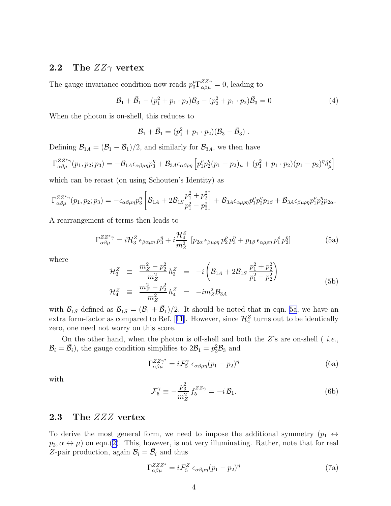### <span id="page-3-0"></span>2.2 The  $ZZ\gamma$  vertex

The gauge invariance condition now reads  $p_3^{\mu} \Gamma_{\alpha\beta\mu}^{ZZ\gamma} = 0$ , leading to

$$
\mathcal{B}_1 + \bar{\mathcal{B}}_1 - (p_1^2 + p_1 \cdot p_2)\mathcal{B}_3 - (p_2^2 + p_1 \cdot p_2)\bar{\mathcal{B}}_3 = 0 \tag{4}
$$

When the photon is on-shell, this reduces to

$$
\mathcal{B}_1+\bar{\mathcal{B}}_1=(p_1^2+p_1\cdot p_2)(\mathcal{B}_3-\bar{\mathcal{B}}_3).
$$

Defining  $\mathcal{B}_{1A} = (\mathcal{B}_1 - \bar{\mathcal{B}}_1)/2$ , and similarly for  $\mathcal{B}_{3A}$ , we then have

$$
\Gamma_{\alpha\beta\mu}^{ZZ^*\gamma}(p_1, p_2; p_3) = -\mathcal{B}_{1A}\epsilon_{\alpha\beta\mu\eta}p_3^{\eta} + \mathcal{B}_{3A}\epsilon_{\alpha\beta\rho\eta} \left[ p_1^{\rho}p_2^{\eta}(p_1 - p_2)_{\mu} + (p_1^2 + p_1 \cdot p_2)(p_1 - p_2)^{\eta} \delta_{\mu}^{\rho} \right]
$$

which can be recast (on using Schouten's Identity) as

$$
\Gamma_{\alpha\beta\mu}^{ZZ^*\gamma}(p_1, p_2; p_3) = -\epsilon_{\alpha\beta\mu\eta} p_3^{\eta} \left[ \mathcal{B}_{1A} + 2\mathcal{B}_{1S} \frac{p_1^2 + p_2^2}{p_1^2 - p_2^2} \right] + \mathcal{B}_{3A}\epsilon_{\alpha\mu\rho\eta} p_1^{\rho} p_2^{\eta} p_{1\beta} + \mathcal{B}_{3A}\epsilon_{\beta\mu\rho\eta} p_1^{\rho} p_2^{\eta} p_{2\alpha}.
$$

A rearrangement of terms then leads to

$$
\Gamma_{\alpha\beta\mu}^{ZZ^*\gamma} = i\mathcal{H}_3^Z \epsilon_{\beta\alpha\mu\eta} p_3^{\eta} + i\frac{\mathcal{H}_4^Z}{m_Z^2} \left[ p_{2\alpha} \epsilon_{\beta\mu\rho\eta} p_2^{\rho} p_3^{\eta} + p_{1\beta} \epsilon_{\alpha\mu\rho\eta} p_1^{\rho} p_2^{\eta} \right]
$$
(5a)

where

$$
\mathcal{H}_3^Z \equiv \frac{m_Z^2 - p_2^2}{m_Z^2} h_3^Z = -i \left( \mathcal{B}_{1A} + 2 \mathcal{B}_{1S} \frac{p_1^2 + p_2^2}{p_1^2 - p_2^2} \right) \n\mathcal{H}_4^Z \equiv \frac{m_Z^2 - p_2^2}{m_Z^2} h_4^Z = -i m_Z^2 \mathcal{B}_{3A}
$$
\n(5b)

with  $\mathcal{B}_{1S}$  defined as  $\mathcal{B}_{1S} = (\mathcal{B}_1 + \bar{\mathcal{B}}_1)/2$ . It should be noted that in eqn. 5a, we have an extraform-factor as compared to Ref. [[11](#page-17-0)]. However, since  $\mathcal{H}_4^Z$  turns out to be identically zero, one need not worry on this score.

On the other hand, when the photon is off-shell and both the  $Z$ 's are on-shell (*i.e.*,  $\mathcal{B}_i = \bar{\mathcal{B}}_i$ , the gauge condition simplifies to  $2\mathcal{B}_1 = p_3^2 \mathcal{B}_3$  and

$$
\Gamma_{\alpha\beta\mu}^{ZZ\gamma^*} = i\mathcal{F}_5^{\gamma} \epsilon_{\alpha\beta\mu\eta} (p_1 - p_2)^{\eta}
$$
 (6a)

with

$$
\mathcal{F}_5^{\gamma} \equiv -\frac{p_3^2}{m_Z^2} f_5^{ZZ\gamma} = -i \mathcal{B}_1.
$$
 (6b)

#### 2.3 The ZZZ vertex

To derive the most general form, we need to impose the additional symmetry  $(p_1 \leftrightarrow p_2)$  $p_3, \alpha \leftrightarrow \mu$  on eqn.([2\)](#page-2-0). This, however, is not very illuminating. Rather, note that for real Z-pair production, again  $B_i = \overline{B}_i$  and thus

$$
\Gamma_{\alpha\beta\mu}^{ZZZ^*} = i\mathcal{F}_5^Z \epsilon_{\alpha\beta\mu\eta} (p_1 - p_2)^\eta \tag{7a}
$$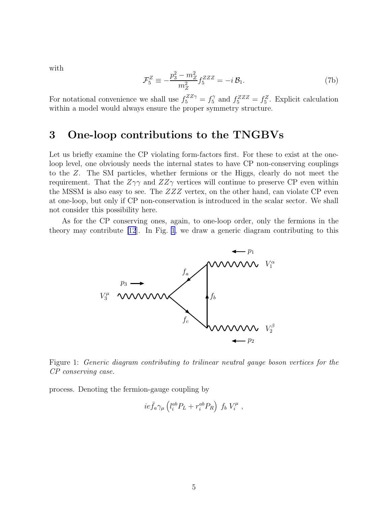<span id="page-4-0"></span>with

$$
\mathcal{F}_5^Z \equiv -\frac{p_3^2 - m_Z^2}{m_Z^2} f_5^{ZZZ} = -i \mathcal{B}_1.
$$
 (7b)

For notational convenience we shall use  $f_5^{ZZ\gamma} = f_5^{\gamma}$  and  $f_5^{ZZZ} = f_5^Z$ . Explicit calculation within a model would always ensure the proper symmetry structure.

# 3 One-loop contributions to the TNGBVs

Let us briefly examine the CP violating form-factors first. For these to exist at the oneloop level, one obviously needs the internal states to have CP non-conserving couplings to the Z. The SM particles, whether fermions or the Higgs, clearly do not meet the requirement. That the  $Z\gamma\gamma$  and  $ZZ\gamma$  vertices will continue to preserve CP even within the MSSM is also easy to see. The  $ZZZ$  vertex, on the other hand, can violate CP even at one-loop, but only if CP non-conservation is introduced in the scalar sector. We shall not consider this possibility here.

As for the CP conserving ones, again, to one-loop order, only the fermions in the theory may contribute [\[12](#page-17-0)]. In Fig. 1, we draw a generic diagram contributing to this



Figure 1: Generic diagram contributing to trilinear neutral gauge boson vertices for the CP conserving case.

process. Denoting the fermion-gauge coupling by

$$
ie\bar{f}_a\gamma_\mu\left(l_i^{ab}P_L+r_i^{ab}P_R\right) f_b V_i^\mu ,
$$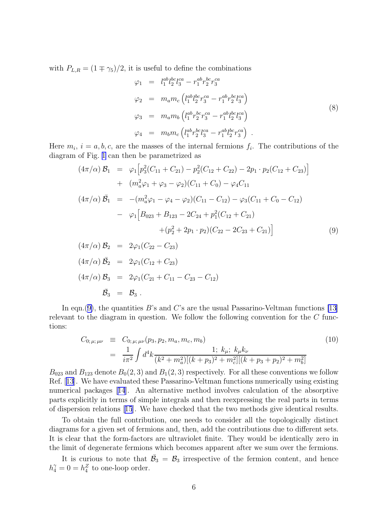<span id="page-5-0"></span>with  $P_{L,R} = (1 \mp \gamma_5)/2$ , it is useful to define the combinations

$$
\varphi_1 = l_1^{ab} l_2^{bc} l_3^{ca} - r_1^{ab} r_2^{bc} r_3^{ca}
$$
\n
$$
\varphi_2 = m_a m_c \left( l_1^{ab} l_2^{bc} r_3^{ca} - r_1^{ab} r_2^{bc} l_3^{ca} \right)
$$
\n
$$
\varphi_3 = m_a m_b \left( l_1^{ab} r_2^{bc} r_3^{ca} - r_1^{ab} l_2^{bc} l_3^{ca} \right)
$$
\n
$$
\varphi_4 = m_b m_c \left( l_1^{ab} r_2^{bc} l_3^{ca} - r_1^{ab} l_2^{bc} r_3^{ca} \right) .
$$
\n(8)

Here  $m_i$ ,  $i = a, b, c$ , are the masses of the internal fermions  $f_i$ . The contributions of the diagram of Fig. [1](#page-4-0) can then be parametrized as

$$
(4\pi/\alpha) \mathcal{B}_1 = \varphi_1 \left[ p_3^2 (C_{11} + C_{21}) - p_2^2 (C_{12} + C_{22}) - 2p_1 \cdot p_2 (C_{12} + C_{23}) \right]
$$
  
+ 
$$
(m_a^2 \varphi_1 + \varphi_3 - \varphi_2) (C_{11} + C_0) - \varphi_4 C_{11}
$$
  

$$
(4\pi/\alpha) \bar{\mathcal{B}}_1 = -(m_a^2 \varphi_1 - \varphi_4 - \varphi_2) (C_{11} - C_{12}) - \varphi_3 (C_{11} + C_0 - C_{12})
$$
  
- 
$$
\varphi_1 \left[ B_{023} + B_{123} - 2C_{24} + p_1^2 (C_{12} + C_{21}) \right]
$$
  
+ 
$$
(p_2^2 + 2p_1 \cdot p_2) (C_{22} - 2C_{23} + C_{21})
$$
 (9)

$$
(4\pi/\alpha) \mathcal{B}_2 = 2\varphi_1(C_{22} - C_{23})
$$
  
\n
$$
(4\pi/\alpha) \bar{\mathcal{B}}_2 = 2\varphi_1(C_{12} + C_{23})
$$
  
\n
$$
(4\pi/\alpha) \mathcal{B}_3 = 2\varphi_1(C_{21} + C_{11} - C_{23} - C_{12})
$$
  
\n
$$
\bar{\mathcal{B}}_3 = \mathcal{B}_3.
$$

In eqn.(9), the quantities B's and C's are the usual Passarino-Veltman functions [\[13](#page-18-0)] relevant to the diagram in question. We follow the following convention for the C functions:

$$
C_{0;\,\mu;\,\mu\nu} \equiv C_{0;\,\mu;\,\mu\nu}(p_3, p_2, m_a, m_c, m_b)
$$
\n
$$
= \frac{1}{i\pi^2} \int d^4k \frac{1; k_\mu; k_\mu k_\nu}{(k^2 + m_a^2)[(k + p_3)^2 + m_c^2][(k + p_3 + p_2)^2 + m_b^2]}
$$
\n
$$
(10)
$$

 $B_{023}$  and  $B_{123}$  denote  $B_0(2,3)$  and  $B_1(2,3)$  respectively. For all these conventions we follow Ref.[[13](#page-18-0)]. We have evaluated these Passarino-Veltman functions numerically using existing numerical packages[[14](#page-18-0)]. An alternative method involves calculation of the absorptive parts explicitly in terms of simple integrals and then reexpressing the real parts in terms of dispersion relations[[15](#page-18-0)]. We have checked that the two methods give identical results.

To obtain the full contribution, one needs to consider all the topologically distinct diagrams for a given set of fermions and, then, add the contributions due to different sets. It is clear that the form-factors are ultraviolet finite. They would be identically zero in the limit of degenerate fermions which becomes apparent after we sum over the fermions.

It is curious to note that  $\bar{\mathcal{B}}_3 = \mathcal{B}_3$  irrespective of the fermion content, and hence  $h_4^{\gamma} = 0 = h_4^Z$  to one-loop order.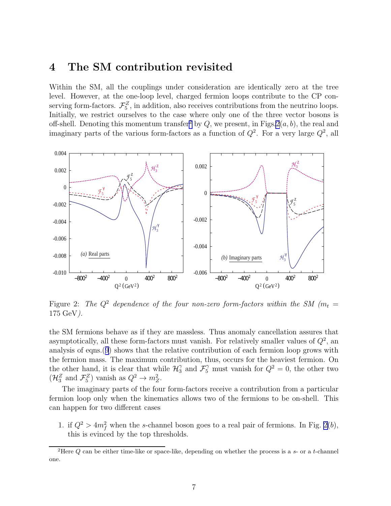## <span id="page-6-0"></span>4 The SM contribution revisited

Within the SM, all the couplings under consideration are identically zero at the tree level. However, at the one-loop level, charged fermion loops contribute to the CP conserving form-factors.  $\mathcal{F}_5^Z$ , in addition, also receives contributions from the neutrino loops. Initially, we restrict ourselves to the case where only one of the three vector bosons is off-shell. Denoting this momentum transfer<sup>2</sup> by Q, we present, in Figs.  $2(a, b)$ , the real and imaginary parts of the various form-factors as a function of  $Q^2$ . For a very large  $Q^2$ , all



Figure 2: The  $Q^2$  dependence of the four non-zero form-factors within the SM ( $m_t =$ 175 GeV).

the SM fermions behave as if they are massless. Thus anomaly cancellation assures that asymptotically, all these form-factors must vanish. For relatively smaller values of  $Q^2$ , an analysis of eqns.([9](#page-5-0)) shows that the relative contribution of each fermion loop grows with the fermion mass. The maximum contribution, thus, occurs for the heaviest fermion. On the other hand, it is clear that while  $\mathcal{H}_3^{\gamma}$  and  $\mathcal{F}_5^{\gamma}$  must vanish for  $Q^2 = 0$ , the other two  $(\mathcal{H}_3^Z \text{ and } \mathcal{F}_5^Z)$  vanish as  $Q^2 \to m_Z^2$ .

The imaginary parts of the four form-factors receive a contribution from a particular fermion loop only when the kinematics allows two of the fermions to be on-shell. This can happen for two different cases

1. if  $Q^2 > 4m_f^2$  when the s-channel boson goes to a real pair of fermions. In Fig. 2(b), this is evinced by the top thresholds.

<sup>&</sup>lt;sup>2</sup>Here  $Q$  can be either time-like or space-like, depending on whether the process is a  $s$ - or a t-channel one.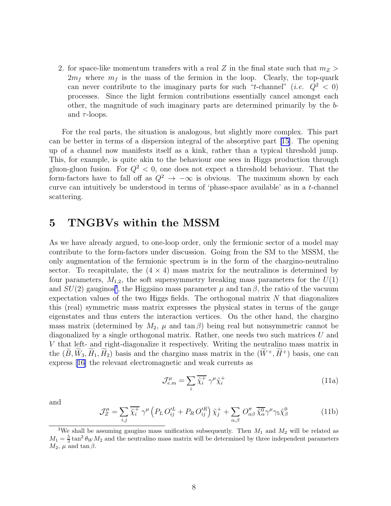2. for space-like momentum transfers with a real Z in the final state such that  $m_Z >$  $2m_f$  where  $m_f$  is the mass of the fermion in the loop. Clearly, the top-quark can never contribute to the imaginary parts for such "t-channel" (*i.e.*  $Q^2 < 0$ ) processes. Since the light fermion contributions essentially cancel amongst each other, the magnitude of such imaginary parts are determined primarily by the band  $\tau$ -loops.

For the real parts, the situation is analogous, but slightly more complex. This part can be better in terms of a dispersion integral of the absorptive part [\[15\]](#page-18-0). The opening up of a channel now manifests itself as a kink, rather than a typical threshold jump. This, for example, is quite akin to the behaviour one sees in Higgs production through gluon-gluon fusion. For  $Q^2 < 0$ , one does not expect a threshold behaviour. That the form-factors have to fall off as  $Q^2 \to -\infty$  is obvious. The maximum shown by each curve can intuitively be understood in terms of 'phase-space available' as in a t-channel scattering.

## 5 TNGBVs within the MSSM

As we have already argued, to one-loop order, only the fermionic sector of a model may contribute to the form-factors under discussion. Going from the SM to the MSSM, the only augmentation of the fermionic spectrum is in the form of the chargino-neutralino sector. To recapitulate, the  $(4 \times 4)$  mass matrix for the neutralinos is determined by four parameters,  $M_{1,2}$ , the soft supersymmetry breaking mass parameters for the  $U(1)$ and  $SU(2)$  gauginos<sup>3</sup>, the Higgsino mass parameter  $\mu$  and tan  $\beta$ , the ratio of the vacuum expectation values of the two Higgs fields. The orthogonal matrix  $N$  that diagonalizes this (real) symmetric mass matrix expresses the physical states in terms of the gauge eigenstates and thus enters the interaction vertices. On the other hand, the chargino mass matrix (determined by  $M_2$ ,  $\mu$  and  $\tan \beta$ ) being real but nonsymmetric cannot be diagonalized by a single orthogonal matrix. Rather, one needs two such matrices U and V that left- and right-diagonalize it respectively. Writing the neutralino mass matrix in the  $(\widetilde{B}, \widetilde{W}_3, \widetilde{H}_1, \widetilde{H}_2)$  basis and the chargino mass matrix in the  $(\widetilde{W}^+, \widetilde{H}^+)$  basis, one can express[[16\]](#page-18-0) the relevant electromagnetic and weak currents as

$$
\mathcal{J}_{e,m}^{\mu} = \sum_{i} \overline{\tilde{\chi}_i^+} \ \gamma^{\mu} \tilde{\chi}_i^+ \tag{11a}
$$

and

$$
\mathcal{J}_Z^{\mu} = \sum_{i,j} \overline{\tilde{\chi}_i^+} \gamma^{\mu} \left( P_L O_{ij}^{\prime L} + P_R O_{ij}^{\prime R} \right) \tilde{\chi}_j^+ + \sum_{\alpha,\beta} O_{\alpha\beta}^{\prime\prime} \overline{\tilde{\chi}_{\alpha}^0} \gamma^{\mu} \gamma_5 \tilde{\chi}_{\beta}^0 \tag{11b}
$$

<sup>&</sup>lt;sup>3</sup>We shall be assuming gaugino mass unification subsequently. Then  $M_1$  and  $M_2$  will be related as  $M_1 = \frac{5}{3} \tan^2 \theta_W M_2$  and the neutralino mass matrix will be determined by three independent parameters  $M_2$ ,  $\mu$  and tan  $\beta$ .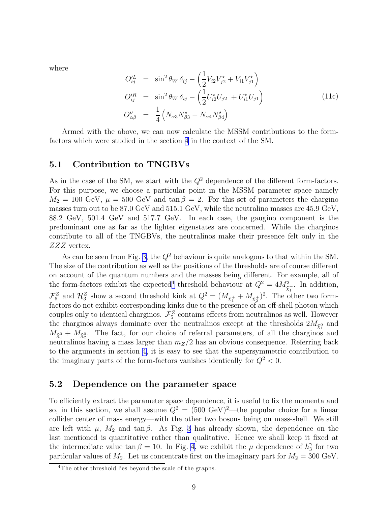<span id="page-8-0"></span>where

$$
O_{ij}^{IL} = \sin^2 \theta_W \, \delta_{ij} - \left(\frac{1}{2} V_{i2} V_{j2}^* + V_{i1} V_{j1}^*\right)
$$
  
\n
$$
O_{ij}^{'R} = \sin^2 \theta_W \, \delta_{ij} - \left(\frac{1}{2} U_{i2}^* U_{j2} + U_{i1}^* U_{j1}\right)
$$
  
\n
$$
O_{\alpha\beta}'' = \frac{1}{4} \left(N_{\alpha 3} N_{\beta 3}^* - N_{\alpha 4} N_{\beta 4}^*\right)
$$
\n(11c)

Armed with the above, we can now calculate the MSSM contributions to the formfactors which were studied in the section [4](#page-6-0) in the context of the SM.

#### 5.1 Contribution to TNGBVs

As in the case of the SM, we start with the  $Q^2$  dependence of the different form-factors. For this purpose, we choose a particular point in the MSSM parameter space namely  $M_2 = 100 \text{ GeV}, \mu = 500 \text{ GeV}$  and  $\tan \beta = 2$ . For this set of parameters the chargino masses turn out to be 87.0 GeV and 515.1 GeV, while the neutralino masses are 45.9 GeV, 88.2 GeV, 501.4 GeV and 517.7 GeV. In each case, the gaugino component is the predominant one as far as the lighter eigenstates are concerned. While the charginos contribute to all of the TNGBVs, the neutralinos make their presence felt only in the ZZZ vertex.

As can be seen from Fig. [3,](#page-9-0) the  $Q^2$  behaviour is quite analogous to that within the SM. The size of the contribution as well as the positions of the thresholds are of course different on account of the quantum numbers and the masses being different. For example, all of the form-factors exhibit the expected<sup>4</sup> threshold behaviour at  $Q^2 = 4M_{\tilde{\chi}_1^+}^2$ . In addition, 1  $\mathcal{F}_5^Z$  and  $\mathcal{H}_3^Z$  show a second threshold kink at  $Q^2 = (M_{\tilde{\chi}_1^+} + M_{\tilde{\chi}_2^+})^2$ . The other two formfactors do not exhibit corresponding kinks due to the presence of an off-shell photon which couples only to identical charginos.  $\mathcal{F}_5^Z$  contains effects from neutralinos as well. However the charginos always dominate over the neutralinos except at the thresholds  $2M_{\tilde{\chi}^0_1}$  and  $M_{\tilde{\chi}^0_1} + M_{\tilde{\chi}^0_2}$ . The fact, for our choice of referral parameters, of all the charginos and neutralinos having a mass larger than  $m_Z/2$  has an obvious consequence. Referring back to the arguments in section [4](#page-6-0), it is easy to see that the supersymmetric contribution to the imaginary parts of the form-factors vanishes identically for  $Q^2 < 0$ .

#### 5.2 Dependence on the parameter space

To efficiently extract the parameter space dependence, it is useful to fix the momenta and so, in this section, we shall assume  $Q^2 = (500 \text{ GeV})^2$ —the popular choice for a linear collider center of mass energy—with the other two bosons being on mass-shell. We still are left with  $\mu$ ,  $M_2$  and tan  $\beta$ . As Fig. [3](#page-9-0) has already shown, the dependence on the last mentioned is quantitative rather than qualitative. Hence we shall keep it fixed at the intermediate value tan  $\beta = 10$ . In Fig. [4,](#page-10-0) we exhibit the  $\mu$  dependence of  $h_3^{\gamma}$  $\frac{\gamma}{3}$  for two particular values of  $M_2$ . Let us concentrate first on the imaginary part for  $M_2 = 300 \text{ GeV}$ .

<sup>&</sup>lt;sup>4</sup>The other threshold lies beyond the scale of the graphs.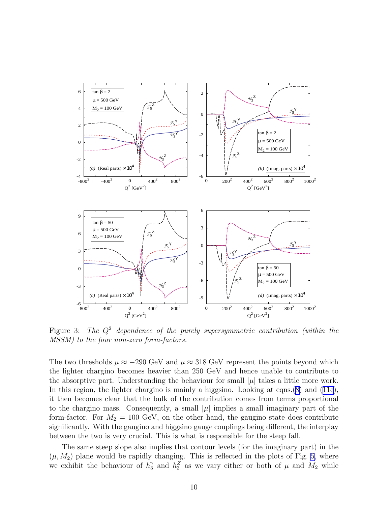<span id="page-9-0"></span>

Figure 3: The  $Q^2$  dependence of the purely supersymmetric contribution (within the MSSM) to the four non-zero form-factors.

The two thresholds  $\mu \approx -290$  GeV and  $\mu \approx 318$  GeV represent the points beyond which the lighter chargino becomes heavier than 250 GeV and hence unable to contribute to the absorptive part. Understanding the behaviour for small  $|\mu|$  takes a little more work. In this region, the lighter chargino is mainly a higgsino. Looking at eqns.([8\)](#page-5-0)and ([11c](#page-8-0)), it then becomes clear that the bulk of the contribution comes from terms proportional to the chargino mass. Consequently, a small  $|\mu|$  implies a small imaginary part of the form-factor. For  $M_2 = 100$  GeV, on the other hand, the gaugino state does contribute significantly. With the gaugino and higgsino gauge couplings being different, the interplay between the two is very crucial. This is what is responsible for the steep fall.

The same steep slope also implies that contour levels (for the imaginary part) in the  $(\mu, M_2)$  plane would be rapidly changing. This is reflected in the plots of Fig. [5,](#page-11-0) where we exhibit the behaviour of  $h_3^{\gamma}$  and  $h_3^{\gamma}$  as we vary either or both of  $\mu$  and  $M_2$  while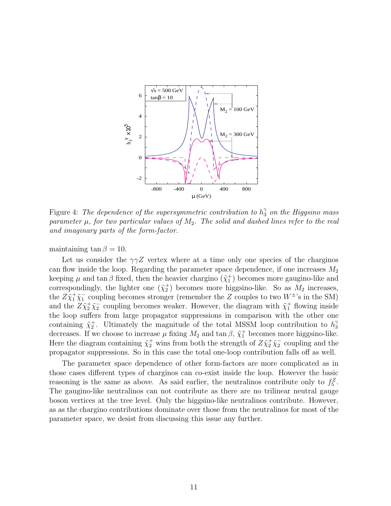<span id="page-10-0"></span>

Figure 4: The dependence of the supersymmetric contribution to  $h_3^{\gamma}$  on the Higgsino mass parameter  $\mu$ , for two particular values of  $M_2$ . The solid and dashed lines refer to the real and imaginary parts of the form-factor.

maintaining tan  $\beta = 10$ .

Let us consider the  $\gamma\gamma Z$  vertex where at a time only one species of the charginos can flow inside the loop. Regarding the parameter space dependence, if one increases  $M_2$ keeping  $\mu$  and tan  $\beta$  fixed, then the heavier chargino  $(\tilde{\chi}_1^+)$  becomes more gaugino-like and correspondingly, the lighter one  $(\tilde{\chi}_2^+)$  becomes more higgsino-like. So as  $M_2$  increases, the  $Z\tilde{\chi}^+_1\tilde{\chi}^-_1$  coupling becomes stronger (remember the Z couples to two  $W^\pm$ 's in the SM) and the  $Z\tilde{\chi}^+_2\tilde{\chi}^-_2$  coupling becomes weaker. However, the diagram with  $\tilde{\chi}^+_1$  flowing inside the loop suffers from large propagator suppressions in comparison with the other one containing  $\tilde{\chi}_2^+$ . Ultimately the magnitude of the total MSSM loop contribution to  $h_3^{\gamma}$ 3 decreases. If we choose to increase  $\mu$  fixing  $M_2$  and  $\tan \beta$ ,  $\tilde{\chi}_1^+$  becomes more higgsino-like. Here the diagram containing  $\tilde{\chi}_2^+$  wins from both the strength of  $Z\tilde{\chi}_2^+\tilde{\chi}_2^-$  coupling and the propagator suppressions. So in this case the total one-loop contribution falls off as well.

The parameter space dependence of other form-factors are more complicated as in those cases different types of charginos can co-exist inside the loop. However the basic reasoning is the same as above. As said earlier, the neutralinos contribute only to  $f_5^Z$ . The gaugino-like neutralinos can not contribute as there are no trilinear neutral gauge boson vertices at the tree level. Only the higgsino-like neutralinos contribute. However, as as the chargino contributions dominate over those from the neutralinos for most of the parameter space, we desist from discussing this issue any further.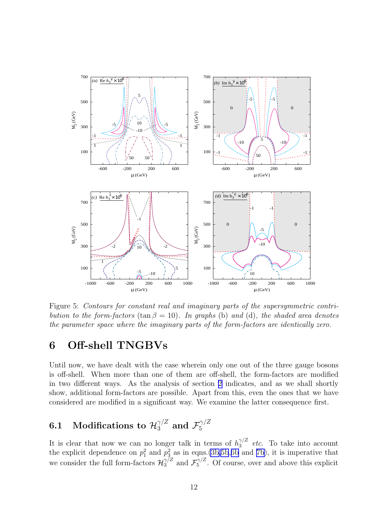<span id="page-11-0"></span>

Figure 5: Contours for constant real and imaginary parts of the supersymmetric contribution to the form-factors (tan  $\beta = 10$ ). In graphs (b) and (d), the shaded area denotes the parameter space where the imaginary parts of the form-factors are identically zero.

# 6 Off-shell TNGBVs

Until now, we have dealt with the case wherein only one out of the three gauge bosons is off-shell. When more than one of them are off-shell, the form-factors are modified in two different ways. As the analysis of section [2](#page-1-0) indicates, and as we shall shortly show, additional form-factors are possible. Apart from this, even the ones that we have considered are modified in a significant way. We examine the latter consequence first.

#### 6.1 Modifications to  $\mathcal{H}^{\gamma/Z}_3$  and  $\mathcal{F}^{\gamma/Z}_5$ 5

It is clear that now we can no longer talk in terms of  $h_3^{\gamma/Z}$  etc. To take into account the explicit dependence on  $p_1^2$  and  $p_3^2$  as in eqns.[\(3b,](#page-2-0)[5b](#page-3-0),[6b](#page-3-0) and [7b\)](#page-4-0), it is imperative that we consider the full form-factors  $\mathcal{H}_3^{\gamma/Z}$  and  $\mathcal{F}_5^{\gamma/Z}$  $5^{\gamma/2}$ . Of course, over and above this explicit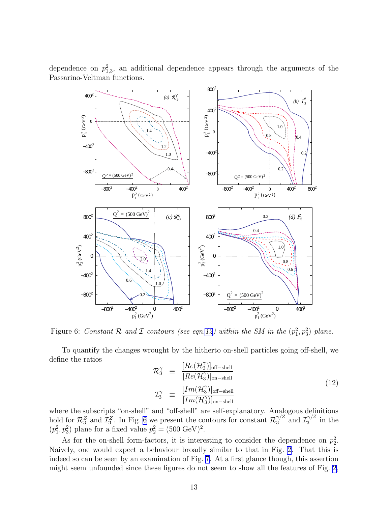

dependence on  $p_{1,3}^2$ , an additional dependence appears through the arguments of the Passarino-Veltman functions.

Figure 6: Constant R and I contours (see eqn.12) within the SM in the  $(p_1^2, p_3^2)$  plane.

To quantify the changes wrought by the hitherto on-shell particles going off-shell, we define the ratios γ

$$
\mathcal{R}_3^{\gamma} \equiv \frac{[Re(\mathcal{H}_3^{\gamma})]_{\text{off-shell}}}{[Re(\mathcal{H}_3^{\gamma})]_{\text{on-shell}}} \n\mathcal{I}_3^{\gamma} \equiv \frac{[Im(\mathcal{H}_3^{\gamma})]_{\text{off-shell}}}{[Im(\mathcal{H}_3^{\gamma})]_{\text{on-shell}}} \n\tag{12}
$$

where the subscripts "on-shell" and "off-shell" are self-explanatory. Analogous definitions hold for  $\mathcal{R}_3^Z$  and  $\mathcal{I}_3^Z$ . In Fig. 6 we present the contours for constant  $\mathcal{R}_3^{\gamma/Z}$  and  $\mathcal{I}_3^{\gamma/Z}$  $j_3^{\gamma/2}$  in the  $(p_1^2, p_3^2)$  plane for a fixed value  $p_2^2 = (500 \text{ GeV})^2$ .

As for the on-shell form-factors, it is interesting to consider the dependence on  $p_2^2$ . Naively, one would expect a behaviour broadly similar to that in Fig. [2](#page-6-0). That this is indeed so can be seen by an examination of Fig. [7.](#page-13-0) At a first glance though, this assertion might seem unfounded since these figures do not seem to show all the features of Fig. [2](#page-6-0),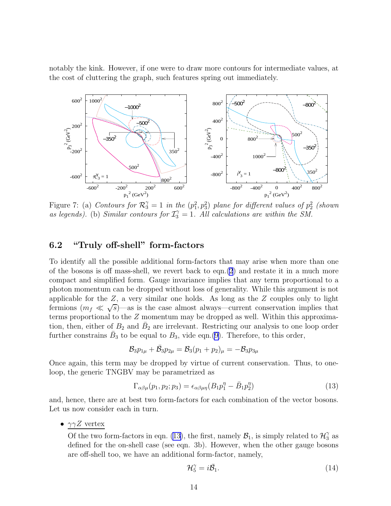<span id="page-13-0"></span>notably the kink. However, if one were to draw more contours for intermediate values, at the cost of cluttering the graph, such features spring out immediately.



Figure 7: (a) Contours for  $\mathcal{R}_3^{\gamma} = 1$  in the  $(p_1^2, p_3^2)$  plane for different values of  $p_2^2$  (shown as legends). (b) Similar contours for  $\mathcal{I}_{3}^{\gamma} = 1$ . All calculations are within the SM.

### 6.2 "Truly off-shell" form-factors

To identify all the possible additional form-factors that may arise when more than one of the bosons is off mass-shell, we revert back to eqn. $(2)$  $(2)$  and restate it in a much more compact and simplified form. Gauge invariance implies that any term proportional to a photon momentum can be dropped without loss of generality. While this argument is not applicable for the  $Z$ , a very similar one holds. As long as the  $Z$  couples only to light fermions  $(m_f \ll \sqrt{s})$ —as is the case almost always—current conservation implies that terms proportional to the Z momentum may be dropped as well. Within this approximation, then, either of  $B_2$  and  $\bar{B}_2$  are irrelevant. Restricting our analysis to one loop order further constrains  $\bar{B}_3$  to be equal to  $B_3$ , vide eqn.[\(9\)](#page-5-0). Therefore, to this order,

$$
\mathcal{B}_3 p_{1\mu} + \bar{\mathcal{B}}_3 p_{2\mu} = \mathcal{B}_3 (p_1 + p_2)_{\mu} = - \mathcal{B}_3 p_{3\mu}
$$

Once again, this term may be dropped by virtue of current conservation. Thus, to oneloop, the generic TNGBV may be parametrized as

$$
\Gamma_{\alpha\beta\mu}(p_1, p_2; p_3) = \epsilon_{\alpha\beta\mu\eta}(B_1 p_1^{\eta} - \bar{B}_1 p_2^{\eta})
$$
\n(13)

and, hence, there are at best two form-factors for each combination of the vector bosons. Let us now consider each in turn.

•  $\gamma \gamma Z$  vertex

Of the two form-factors in eqn. (13), the first, namely  $B_1$ , is simply related to  $\mathcal{H}_3^{\gamma}$  as defined for the on-shell case (see eqn. 3b). However, when the other gauge bosons are off-shell too, we have an additional form-factor, namely,

$$
\mathcal{H}_5^{\gamma} = i\bar{\mathcal{B}}_1. \tag{14}
$$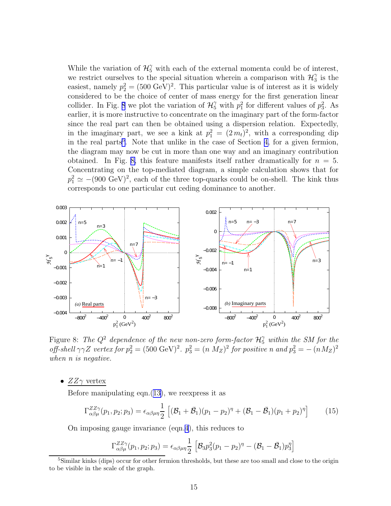While the variation of  $\mathcal{H}_{5}^{\gamma}$  with each of the external momenta could be of interest, we restrict ourselves to the special situation wherein a comparison with  $\mathcal{H}_{3}^{\gamma}$  $\frac{\gamma}{3}$  is the easiest, namely  $p_2^2 = (500 \text{ GeV})^2$ . This particular value is of interest as it is widely considered to be the choice of center of mass energy for the first generation linear collider. In Fig. 8 we plot the variation of  $\mathcal{H}_5^{\gamma}$  with  $p_1^2$  for different values of  $p_3^2$ . As earlier, it is more instructive to concentrate on the imaginary part of the form-factor since the real part can then be obtained using a dispersion relation. Expectedly, in the imaginary part, we see a kink at  $p_1^2 = (2m_t)^2$ , with a corresponding dip in the real parts<sup>5</sup>. Note that unlike in the case of Section [4,](#page-6-0) for a given fermion, the diagram may now be cut in more than one way and an imaginary contribution obtained. In Fig. 8, this feature manifests itself rather dramatically for  $n = 5$ . Concentrating on the top-mediated diagram, a simple calculation shows that for  $p_1^2 \simeq -(900 \text{ GeV})^2$ , each of the three top-quarks could be on-shell. The kink thus corresponds to one particular cut ceding dominance to another.



Figure 8: The  $Q^2$  dependence of the new non-zero form-factor  $\mathcal{H}_5^{\gamma}$  within the SM for the off-shell  $\gamma \gamma Z$  vertex for  $p_2^2 = (500 \text{ GeV})^2$ .  $p_3^2 = (n \text{ M}_Z)^2$  for positive n and  $p_3^2 = -(n \text{ M}_Z)^2$ when *n* is negative.

•  $ZZ\gamma$  vertex

Before manipulating eqn. $(13)$  $(13)$ , we reexpress it as

$$
\Gamma_{\alpha\beta\mu}^{ZZ\gamma}(p_1, p_2; p_3) = \epsilon_{\alpha\beta\mu\eta} \frac{1}{2} \left[ (\mathcal{B}_1 + \bar{\mathcal{B}}_1)(p_1 - p_2)^{\eta} + (\mathcal{B}_1 - \bar{\mathcal{B}}_1)(p_1 + p_2)^{\eta} \right] \tag{15}
$$

On imposing gauge invariance (eqn.[4](#page-3-0)), this reduces to

$$
\Gamma_{\alpha\beta\mu}^{ZZ\gamma}(p_1, p_2; p_3) = \epsilon_{\alpha\beta\mu\eta} \frac{1}{2} \left[ \mathcal{B}_3 p_3^2 (p_1 - p_2)^{\eta} - (\mathcal{B}_1 - \bar{\mathcal{B}}_1) p_3^{\eta} \right]
$$

<sup>5</sup>Similar kinks (dips) occur for other fermion thresholds, but these are too small and close to the origin to be visible in the scale of the graph.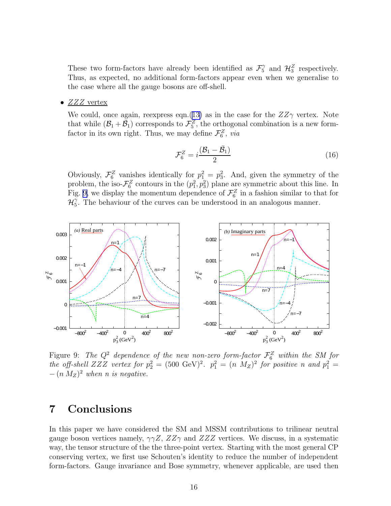These two form-factors have already been identified as  $\mathcal{F}_5^{\gamma}$  and  $\mathcal{H}_3^Z$  respectively. Thus, as expected, no additional form-factors appear even when we generalise to the case where all the gauge bosons are off-shell.

•  $ZZZ$  vertex

We could, once again, reexpress eqn.([13\)](#page-13-0) as in the case for the  $ZZ\gamma$  vertex. Note that while  $(\mathcal{B}_1 + \bar{\mathcal{B}}_1)$  corresponds to  $\mathcal{F}_5^Z$ , the orthogonal combination is a new formfactor in its own right. Thus, we may define  $\mathcal{F}_6^Z$ , via

$$
\mathcal{F}_6^Z = i \frac{(\mathcal{B}_1 - \bar{\mathcal{B}}_1)}{2} \tag{16}
$$

Obviously,  $\mathcal{F}_6^Z$  vanishes identically for  $p_1^2 = p_3^2$ . And, given the symmetry of the problem, the iso- $\mathcal{F}_6^Z$  contours in the  $(p_1^2, p_3^2)$  plane are symmetric about this line. In Fig. 9, we display the momentum dependence of  $\mathcal{F}_6^Z$  in a fashion similar to that for  $\mathcal{H}^{\gamma}_{5}$  $\tilde{a}$ . The behaviour of the curves can be understood in an analogous manner.



Figure 9: The  $Q^2$  dependence of the new non-zero form-factor  $\mathcal{F}_6^Z$  within the SM for the off-shell ZZZ vertex for  $p_2^2 = (500 \text{ GeV})^2$ .  $p_1^2 = (n \text{ M}_Z)^2$  for positive n and  $p_1^2 =$  $-(n M_Z)^2$  when n is negative.

# 7 Conclusions

In this paper we have considered the SM and MSSM contributions to trilinear neutral gauge boson vertices namely,  $\gamma \gamma Z$ ,  $ZZ\gamma$  and  $ZZZ$  vertices. We discuss, in a systematic way, the tensor structure of the the three-point vertex. Starting with the most general CP conserving vertex, we first use Schouten's identity to reduce the number of independent form-factors. Gauge invariance and Bose symmetry, whenever applicable, are used then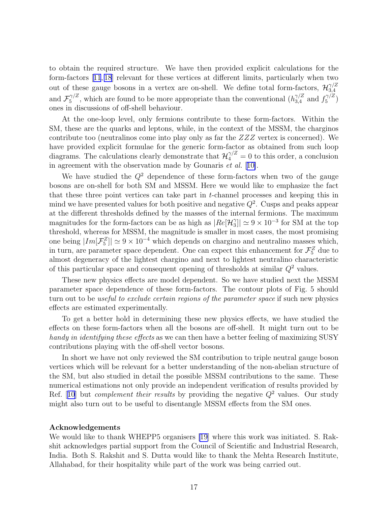to obtain the required structure. We have then provided explicit calculations for the form-factors[[11](#page-17-0), [18](#page-18-0)] relevant for these vertices at different limits, particularly when two out of these gauge bosons in a vertex are on-shell. We define total form-factors,  $\mathcal{H}_{3,4}^{\gamma/Z}$ 3,4 and  $\mathcal{F}_5^{\gamma/Z}$  $\zeta_5^{7/Z}$ , which are found to be more appropriate than the conventional  $(h_{3,4}^{\gamma/Z} \text{ and } f_5^{\gamma/Z})$  $\binom{3}{2}$ ones in discussions of off-shell behaviour.

At the one-loop level, only fermions contribute to these form-factors. Within the SM, these are the quarks and leptons, while, in the context of the MSSM, the charginos contribute too (neutralinos come into play only as far the  $ZZZ$  vertex is concerned). We have provided explicit formulae for the generic form-factor as obtained from such loop diagrams. The calculations clearly demonstrate that  $\mathcal{H}_4^{\gamma/Z} = 0$  to this order, a conclusion in agreement with the observation made by Gounaris  $et \ al.$  [[10\]](#page-17-0).

We have studied the  $Q^2$  dependence of these form-factors when two of the gauge bosons are on-shell for both SM and MSSM. Here we would like to emphasize the fact that these three point vertices can take part in  $t$ -channel processes and keeping this in mind we have presented values for both positive and negative  $Q^2$ . Cusps and peaks appear at the different thresholds defined by the masses of the internal fermions. The maximum magnitudes for the form-factors can be as high as  $|Re[\mathcal{H}_3^{\gamma}]$  $\binom{1}{3}$ |  $\simeq 9 \times 10^{-3}$  for SM at the top threshold, whereas for MSSM, the magnitude is smaller in most cases, the most promising one being  $|Im[\mathcal{F}_5^Z]| \simeq 9 \times 10^{-4}$  which depends on chargino and neutralino masses which, in turn, are parameter space dependent. One can expect this enhancement for  $\mathcal{F}_5^Z$  due to almost degeneracy of the lightest chargino and next to lightest neutralino characteristic of this particular space and consequent opening of thresholds at similar  $Q^2$  values.

These new physics effects are model dependent. So we have studied next the MSSM parameter space dependence of these form-factors. The contour plots of Fig. 5 should turn out to be *useful to exclude certain regions of the parameter space* if such new physics effects are estimated experimentally.

To get a better hold in determining these new physics effects, we have studied the effects on these form-factors when all the bosons are off-shell. It might turn out to be handy in identifying these effects as we can then have a better feeling of maximizing SUSY contributions playing with the off-shell vector bosons.

In short we have not only reviewed the SM contribution to triple neutral gauge boson vertices which will be relevant for a better understanding of the non-abelian structure of the SM, but also studied in detail the possible MSSM contributions to the same. These numerical estimations not only provide an independent verification of results provided by Ref.[[10](#page-17-0)] but *complement their results* by providing the negative  $Q^2$  values. Our study might also turn out to be useful to disentangle MSSM effects from the SM ones.

#### Acknowledgements

We would like to thank WHEPP5 organisers [\[19](#page-18-0)] where this work was initiated. S. Rakshit acknowledges partial support from the Council of Scientific and Industrial Research, India. Both S. Rakshit and S. Dutta would like to thank the Mehta Research Institute, Allahabad, for their hospitality while part of the work was being carried out.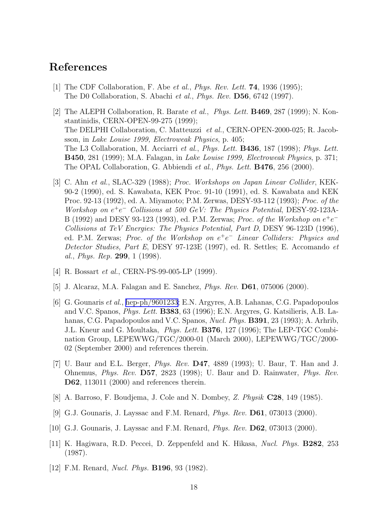## <span id="page-17-0"></span>References

- [1] The CDF Collaboration, F. Abe et al., *Phys. Rev. Lett.* **74**, 1936 (1995); The D0 Collaboration, S. Abachi et al., Phys. Rev. D56, 6742 (1997).
- [2] The ALEPH Collaboration, R. Barate et al., Phys. Lett. B469, 287 (1999); N. Konstantinidis, CERN-OPEN-99-275 (1999); The DELPHI Collaboration, C. Matteuzzi et al., CERN-OPEN-2000-025; R. Jacobsson, in Lake Louise 1999, Electroweak Physics, p. 405; The L3 Collaboration, M. Acciarri *et al., Phys. Lett.* **B436**, 187 (1998); *Phys. Lett.* B450, 281 (1999); M.A. Falagan, in Lake Louise 1999, Electroweak Physics, p. 371; The OPAL Collaboration, G. Abbiendi et al., Phys. Lett. B476, 256 (2000).
- [3] C. Ahn et al., SLAC-329 (1988); Proc. Workshops on Japan Linear Collider, KEK-90-2 (1990), ed. S. Kawabata, KEK Proc. 91-10 (1991), ed. S. Kawabata and KEK Proc. 92-13 (1992), ed. A. Miyamoto; P.M. Zerwas, DESY-93-112 (1993); Proc. of the Workshop on e +e <sup>−</sup> Collisions at 500 GeV: The Physics Potential, DESY-92-123A-B (1992) and DESY 93-123 (1993), ed. P.M. Zerwas; Proc. of the Workshop on  $e^+e^-$ Collisions at TeV Energies: The Physics Potential, Part D, DESY 96-123D (1996), ed. P.M. Zerwas; Proc. of the Workshop on  $e^+e^-$  Linear Colliders: Physics and Detector Studies, Part E, DESY 97-123E (1997), ed. R. Settles; E. Accomando et al., Phys. Rep. 299, 1  $(1998)$ .
- [4] R. Bossart *et al.*, CERN-PS-99-005-LP (1999).
- [5] J. Alcaraz, M.A. Falagan and E. Sanchez, Phys. Rev. D61, 075006 (2000).
- [6] G. Gounaris et al., [hep-ph/9601233;](http://arxiv.org/abs/hep-ph/9601233) E.N. Argyres, A.B. Lahanas, C.G. Papadopoulos and V.C. Spanos, Phys. Lett. B383, 63 (1996); E.N. Argyres, G. Katsilieris, A.B. Lahanas, C.G. Papadopoulos and V.C. Spanos, *Nucl. Phys.* **B391**, 23 (1993); A. Arhrib, J.L. Kneur and G. Moultaka, *Phys. Lett.* **B376**, 127 (1996); The LEP-TGC Combination Group, LEPEWWG/TGC/2000-01 (March 2000), LEPEWWG/TGC/2000- 02 (September 2000) and references therein.
- [7] U. Baur and E.L. Berger, Phys. Rev. D47, 4889 (1993); U. Baur, T. Han and J. Ohnemus, Phys. Rev. D57, 2823 (1998); U. Baur and D. Rainwater, Phys. Rev. D62, 113011 (2000) and references therein.
- [8] A. Barroso, F. Boudjema, J. Cole and N. Dombey, Z. Physik C28, 149 (1985).
- [9] G.J. Gounaris, J. Layssac and F.M. Renard, Phys. Rev. D61, 073013 (2000).
- [10] G.J. Gounaris, J. Layssac and F.M. Renard, *Phys. Rev.* **D62**, 073013 (2000).
- [11] K. Hagiwara, R.D. Peccei, D. Zeppenfeld and K. Hikasa, Nucl. Phys. B282, 253 (1987).
- [12] F.M. Renard, *Nucl. Phys.* **B196**, 93 (1982).